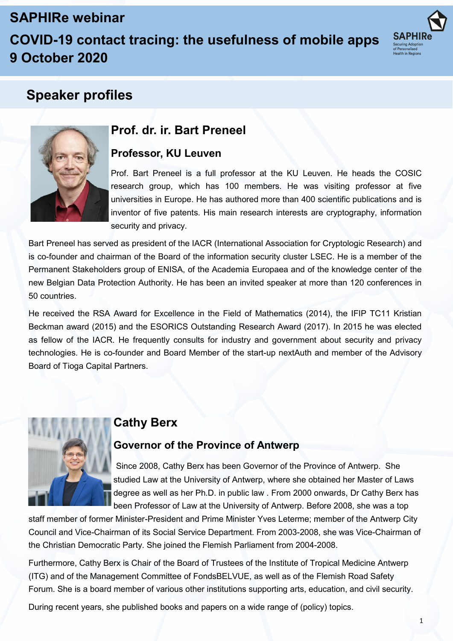# **SAPHIRe webinar**

# **COVID-19 contact tracing: the usefulness of mobile apps 9 October 2020**



# **Speaker profiles**



## **Prof. dr. ir. Bart Preneel**

### **Professor, KU Leuven**

Prof. Bart Preneel is a full professor at the KU Leuven. He heads the COSIC research group, which has 100 members. He was visiting professor at five universities in Europe. He has authored more than 400 scientific publications and is inventor of five patents. His main research interests are cryptography, information security and privacy.

Bart Preneel has served as president of the IACR (International Association for Cryptologic Research) and is co-founder and chairman of the Board of the information security cluster LSEC. He is a member of the Permanent Stakeholders group of ENISA, of the Academia Europaea and of the knowledge center of the new Belgian Data Protection Authority. He has been an invited speaker at more than 120 conferences in 50 countries.

He received the RSA Award for Excellence in the Field of Mathematics (2014), the IFIP TC11 Kristian Beckman award (2015) and the ESORICS Outstanding Research Award (2017). In 2015 he was elected as fellow of the IACR. He frequently consults for industry and government about security and privacy technologies. He is co-founder and Board Member of the start-up nextAuth and member of the Advisory Board of Tioga Capital Partners.



### **Cathy Berx**

### **Governor of the Province of Antwerp**

Since 2008, Cathy Berx has been Governor of the Province of Antwerp. She studied Law at the University of Antwerp, where she obtained her Master of Laws degree as well as her Ph.D. in public law . From 2000 onwards, Dr Cathy Berx has been Professor of Law at the University of Antwerp. Before 2008, she was a top

staff member of former Minister-President and Prime Minister Yves Leterme; member of the Antwerp City Council and Vice-Chairman of its Social Service Department. From 2003-2008, she was Vice-Chairman of the Christian Democratic Party. She joined the Flemish Parliament from 2004-2008.

Furthermore, Cathy Berx is Chair of the Board of Trustees of the Institute of Tropical Medicine Antwerp (ITG) and of the Management Committee of FondsBELVUE, as well as of the Flemish Road Safety Forum. She is a board member of various other institutions supporting arts, education, and civil security.

During recent years, she published books and papers on a wide range of (policy) topics.